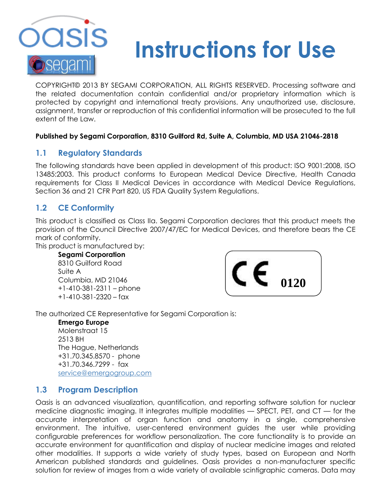

# **Instructions for Use**

COPYRIGHT© 2013 BY SEGAMI CORPORATION, ALL RIGHTS RESERVED. Processing software and the related documentation contain confidential and/or proprietary information which is protected by copyright and international treaty provisions. Any unauthorized use, disclosure, assignment, transfer or reproduction of this confidential information will be prosecuted to the full extent of the Law.

#### **Published by Segami Corporation, 8310 Guilford Rd, Suite A, Columbia, MD USA 21046-2818**

# **1.1 Regulatory Standards**

The following standards have been applied in development of this product: ISO 9001:2008, ISO 13485:2003. This product conforms to European Medical Device Directive, Health Canada requirements for Class II Medical Devices in accordance with Medical Device Regulations, Section 36 and 21 CFR Part 820, US FDA Quality System Regulations.

# **1.2 CE Conformity**

This product is classified as Class IIa. Segami Corporation declares that this product meets the provision of the Council Directive 2007/47/EC for Medical Devices, and therefore bears the CE mark of conformity.

This product is manufactured by:

**Segami Corporation** 8310 Guilford Road Suite A Columbia, MD 21046 +1-410-381-2311 – phone +1-410-381-2320 – fax



The authorized CE Representative for Segami Corporation is:

**Emergo Europe** Molenstraat 15 2513 BH The Hague, Netherlands +31.70.345.8570 - phone +31.70.346.7299 - fax [service@emergogroup.com](mailto:service@emergogroup.com)

# **1.3 Program Description**

Oasis is an advanced visualization, quantification, and reporting software solution for nuclear medicine diagnostic imaging. It integrates multiple modalities — SPECT, PET, and CT — for the accurate interpretation of organ function and anatomy in a single, comprehensive environment. The intuitive, user-centered environment guides the user while providing configurable preferences for workflow personalization. The core functionality is to provide an accurate environment for quantification and display of nuclear medicine images and related other modalities. It supports a wide variety of study types, based on European and North American published standards and guidelines. Oasis provides a non-manufacturer specific solution for review of images from a wide variety of available scintigraphic cameras. Data may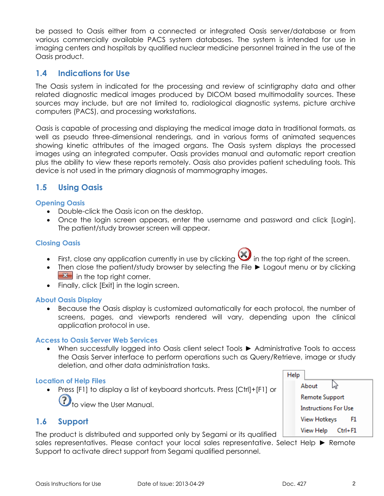be passed to Oasis either from a connected or integrated Oasis server/database or from various commercially available PACS system databases. The system is intended for use in imaging centers and hospitals by qualified nuclear medicine personnel trained in the use of the Oasis product.

# **1.4 Indications for Use**

The Oasis system in indicated for the processing and review of scintigraphy data and other related diagnostic medical images produced by DICOM based multimodality sources. These sources may include, but are not limited to, radiological diagnostic systems, picture archive computers (PACS), and processing workstations.

Oasis is capable of processing and displaying the medical image data in traditional formats, as well as pseudo three-dimensional renderings, and in various forms of animated sequences showing kinetic attributes of the imaged organs. The Oasis system displays the processed images using an integrated computer. Oasis provides manual and automatic report creation plus the ability to view these reports remotely. Oasis also provides patient scheduling tools. This device is not used in the primary diagnosis of mammography images.

# **1.5 Using Oasis**

#### **Opening Oasis**

- Double-click the Oasis icon on the desktop.
- Once the login screen appears, enter the username and password and click [Login]. The patient/study browser screen will appear.

#### **Closing Oasis**

- First, close any application currently in use by clicking  $\bullet$  in the top right of the screen.
- Then close the patient/study browser by selecting the File ► Logout menu or by clicking  $\mathbf{R}$  in the top right corner.
- Finally, click [Exit] in the login screen.

#### **About Oasis Display**

 Because the Oasis display is customized automatically for each protocol, the number of screens, pages, and viewports rendered will vary, depending upon the clinical application protocol in use.

#### **Access to Oasis Server Web Services**

 When successfully logged into Oasis client select Tools ► Administrative Tools to access the Oasis Server interface to perform operations such as Query/Retrieve, image or study deletion, and other data administration tasks.

#### **Location of Help Files**

 Press [F1] to display a list of keyboard shortcuts. Press [Ctrl]+[F1] or to view the User Manual.

### **1.6 Support**

The product is distributed and supported only by Segami or its qualified

sales representatives. Please contact your local sales representative. Select Help ► Remote Support to activate direct support from Segami qualified personnel.

Help じ About **Remote Support Instructions For Use View Hotkeys** F1 View Help Ctrl+F1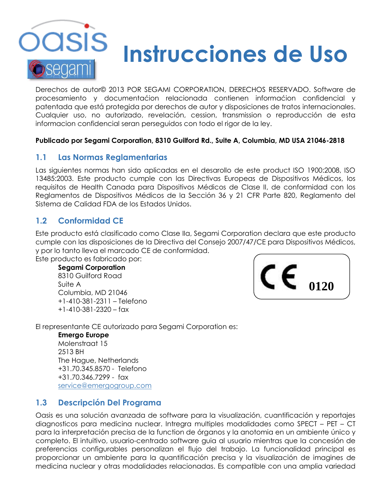

# **Instrucciones de Uso**

Derechos de autor© 2013 POR SEGAMI CORPORATION, DERECHOS RESERVADO. Software de procesamiento y documentaćion relacionada contienen informaćion confidencial y patentada que está protegida por derechos de autor y disposiciones de tratos internacionales. Cualquier uso, no autorizado, revelación, cession, transmission o reproducción de esta informacion confidencial seran perseguidos con todo el rigor de la ley.

#### **Publicado por Segami Corporation, 8310 Guilford Rd., Suite A, Columbia, MD USA 21046-2818**

# **1.1 Las Normas Reglamentarias**

Las siguientes normas han sido aplicadas en el desarollo de este product ISO 1900:2008, ISO 13485:2003. Este producto cumple con las Directivas Europeas de Dispositivos Médicos, los requisitos de Health Canada para Dispositivos Médicos de Clase II, de conformidad con los Reglamentos de Dispositivos Médicos de la Sección 36 y 21 CFR Parte 820, Reglamento del Sistema de Calidad FDA de los Estados Unidos.

# **1.2 Conformidad CE**

Este producto está clasificado como Clase IIa, Segami Corporation declara que este producto cumple con las disposiciones de la Directiva del Consejo 2007/47/CE para Dispositivos Médicos, y por lo tanto lleva el marcado CE de conformidad.

Este producto es fabricado por:

#### **Segami Corporation**

8310 Guilford Road Suite A Columbia, MD 21046 +1-410-381-2311 – Telefono +1-410-381-2320 – fax



El representante CE autorizado para Segami Corporation es:

**Emergo Europe**

Molenstraat 15 2513 BH The Hague, Netherlands +31.70.345.8570 - Telefono +31.70.346.7299 - fax [service@emergogroup.com](mailto:service@emergogroup.com)

# **1.3 Descripción Del Programa**

Oasis es una solución avanzada de software para la visualización, cuantificación y reportajes diagnosticos para medicina nuclear. Intregra multiples modalidades como SPECT – PET – CT para la interpretación precisa de la function de órganos y la anotomia en un ambiente único y completo. El intuitivo, usuario-centrado software guia al usuario mientras que la concesión de preferencias configurables personalizan el flujo del trabajo. La funcionalidad principal es proporcionar un ambiente para la quantificación precisa y la visualización de imagines de medicina nuclear y otras modalidades relacionadas. Es compatible con una amplia variedad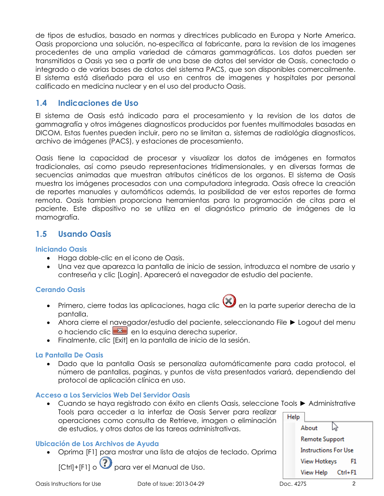de tipos de estudios, basado en normas y directrices publicado en Europa y Norte America. Oasis proporciona una solución, no-específica al fabricante, para la revision de los imagenes procedentes de una amplia variedad de cámaras gammagráficas. Los datos pueden ser transmitidos a Oasis ya sea a partir de una base de datos del servidor de Oasis, conectado o integrado o de varias bases de datos del sistema PACS, que son disponibles comercailmente. El sistema está diseňado para el uso en centros de imagenes y hospitales por personal calificado en medicina nuclear y en el uso del producto Oasis.

# **1.4 Indicaciones de Uso**

El sistema de Oasis está indicado para el procesamiento y la revision de los datos de gammagrafía y otros imágenes diagnosticos producidos por fuentes multimodales basadas en DICOM. Estas fuentes pueden incluir, pero no se limitan a, sistemas de radiológia diagnosticos, archivo de imágenes (PACS), y estaciones de procesamiento.

Oasis tiene la capacidad de procesar y visualizar los datos de imágenes en formatos tradicionales, así como pseudo representaciones tridimensionales, y en diversas formas de secuencias animadas que muestran atributos cinéticos de los organos. El sistema de Oasis muestra los imágenes procesados con una computadora integrada. Oasis ofrece la creación de reportes manuales y automáticos además, la posibilidad de ver estos reportes de forma remota. Oasis tambien proporciona herramientas para la programación de citas para el paciente. Este dispositivo no se utiliza en el diagnóstico primario de imágenes de la mamografía.

# **1.5 Usando Oasis**

#### **Iniciando Oasis**

- Haga doble-clic en el icono de Oasis.
- Una vez que aparezca la pantalla de inicio de session, introduzca el nombre de usario y contreseňa y clic [Login]. Aparecerá el navegador de estudio del paciente.

#### **Cerando Oasis**

- $\bullet$  Primero, cierre todas las aplicaciones, haga clic  $\bigotimes$  en la parte superior derecha de la pantalla.
- Ahora cierre el navegador/estudio del paciente, seleccionando File ► Logout del menu o haciendo clic  $\mathbb{R}$  en la esquina derecha superior.
- Finalmente, clic [Exit] en la pantalla de inicio de la sesión.

#### **La Pantalla De Oasis**

 Dado que la pantalla Oasis se personaliza automáticamente para cada protocol, el número de pantallas, paginas, y puntos de vista presentados variará, dependiendo del protocol de aplicación clínica en uso.

#### **Acceso a Los Servicios Web Del Servidor Oasis**

 Cuando se haya registrado con éxito en clients Oasis, seleccione Tools ► Administrative Tools para acceder a la interfaz de Oasis Server para realizar Help operaciones como consulta de Retrieve, imagen o eliminación ベ About de estudios, y otros datos de las tareas administrativas.

### **Ubicación de Los Archivos de Ayuda**

Oprima [F1] para mostrar una lista de atajos de teclado. Oprima

ICtrl1+[F1] o **?** para ver el Manual de Uso.